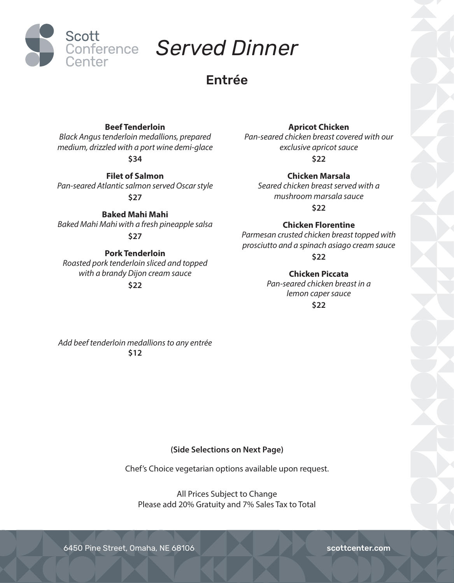

# Entrée

# **Beef Tenderloin**

*Black Angus tenderloin medallions, prepared medium, drizzled with a port wine demi-glace*

**\$34**

**Filet of Salmon** *Pan-seared Atlantic salmon served Oscar style* **\$27**

**Baked Mahi Mahi** *Baked Mahi Mahi with a fresh pineapple salsa* **\$27**

# **Pork Tenderloin**

*Roasted pork tenderloin sliced and topped with a brandy Dijon cream sauce*

**\$22**

# **Apricot Chicken**

*Pan-seared chicken breast covered with our exclusive apricot sauce* **\$22**

**Chicken Marsala**

*Seared chicken breast served with a mushroom marsala sauce* **\$22**

**Chicken Florentine**

*Parmesan crusted chicken breast topped with prosciutto and a spinach asiago cream sauce*

**\$22**

**Chicken Piccata** *Pan-seared chicken breast in a lemon caper sauce*

**\$22**

*Add beef tenderloin medallions to any entrée* **\$12**

## **(Side Selections on Next Page)**

Chef's Choice vegetarian options available upon request.

All Prices Subject to Change Please add 20% Gratuity and 7% Sales Tax to Total

6450 Pine Street, Omaha, NE 68106 scottcenter.com scottcenter.com